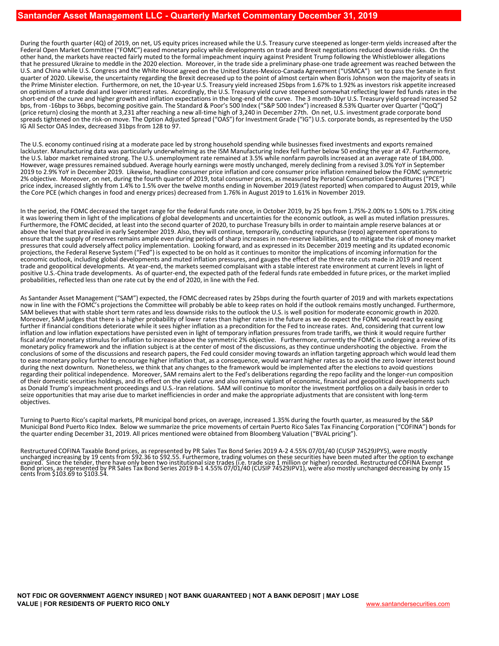During the fourth quarter (4Q) of 2019, on net, US equity prices increased while the U.S. Treasury curve steepened as longer‐term yields increased after the Federal Open Market Committee ("FOMC") eased monetary policy while developments on trade and Brexit negotiations reduced downside risks. On the other hand, the markets have reacted fairly muted to the formal impeachment inquiry against President Trump following the Whistleblower allegations that he pressured Ukraine to meddle in the 2020 election. Moreover, in the trade side a preliminary phase-one trade agreement was reached between the U.S. and China while U.S. Congress and the White House agreed on the United States‐Mexico‐Canada Agreement ("USMCA") set to pass the Senate in first quarter of 2020. Likewise, the uncertainty regarding the Brexit decreased up to the point of almost certain when Boris Johnson won the majority of seats in the Prime Minister election. Furthermore, on net, the 10‐year U.S. Treasury yield increased 25bps from 1.67% to 1.92% as investors risk appetite increased on optimism of a trade deal and lower interest rates. Accordingly, the U.S. Treasury yield curve steepened somewhat reflecting lower fed funds rates in the short‐end of the curve and higher growth and inflation expectations in the long‐end of the curve. The 3 month‐10yr U.S. Treasury yield spread increased 52 bps, from ‐16bps to 36bps, becoming positive gain. The Standard & Poor's 500 Index ("S&P 500 Index") increased 8.53% Quarter over Quarter ("QoQ") (price return) closing the month at 3,231 after reaching a new all‐time high of 3,240 in December 27th. On net, U.S. investment grade corporate bond spreads tightened on the risk‐on move. The Option Adjusted Spread ("OAS") for Investment Grade ("IG") U.S. corporate bonds, as represented by the USD IG All Sector OAS Index, decreased 31bps from 128 to 97.

The U.S. economy continued rising at a moderate pace led by strong household spending while businesses fixed investments and exports remained lackluster. Manufacturing data was particularly underwhelming as the ISM Manufacturing Index fell further below 50 ending the year at 47. Furthermore, the U.S. labor market remained strong. The U.S. unemployment rate remained at 3.5% while nonfarm payrolls increased at an average rate of 184,000. However, wage pressures remained subdued. Average hourly earnings were mostly unchanged, merely declining from a revised 3.0% YoY in September 2019 to 2.9% YoY in December 2019. Likewise, headline consumer price inflation and core consumer price inflation remained below the FOMC symmetric 2% objective. Moreover, on net, during the fourth quarter of 2019, total consumer prices, as measured by Personal Consumption Expenditures ("PCE") price index, increased slightly from 1.4% to 1.5% over the twelve months ending in November 2019 (latest reported) when compared to August 2019, while the Core PCE (which changes in food and energy prices) decreased from 1.76% in August 2019 to 1.61% in November 2019.

In the period, the FOMC decreased the target range for the federal funds rate once, in October 2019, by 25 bps from 1.75%-2.00% to 1.50% to 1.75% citing it was lowering them in light of the implications of global developments and uncertainties for the economic outlook, as well as muted inflation pressures. Furthermore, the FOMC decided, at least into the second quarter of 2020, to purchase Treasury bills in order to maintain ample reserve balances at or above the level that prevailed in early September 2019. Also, they will ensure that the supply of reserves remains ample even during periods of sharp increases in non-reserve liabilities, and to mitigate the risk of money market pressures that could adversely affect policy implementation. Looking forward, and as expressed in its December 2019 meeting and its updated economic projections, the Federal Reserve System ("Fed") is expected to be on hold as it continues to monitor the implications of incoming information for the economic outlook, including global developments and muted inflation pressures, and gauges the effect of the three rate cuts made in 2019 and recent trade and geopolitical developments. At year‐end, the markets seemed complaisant with a stable interest rate environment at current levels in light of positive U.S.-China trade developments. As of quarter-end, the expected path of the federal funds rate embedded in future prices, or the market implied probabilities, reflected less than one rate cut by the end of 2020, in line with the Fed.

As Santander Asset Management ("SAM") expected, the FOMC decreased rates by 25bps during the fourth quarter of 2019 and with markets expectations now in line with the FOMC's projections the Committee will probably be able SAM believes that with stable short term rates and less downside risks to the outlook the U.S. is well position for moderate economic growth in 2020. Moreover, SAM judges that there is a higher probability of lower rates than higher rates in the future as we do expect the FOMC would react by easing further if financial conditions deteriorate while it sees higher inflation as a precondition for the Fed to increase rates. And, considering that current low inflation and low inflation expectations have persisted even in light of temporary inflation pressures from trade tariffs, we think it would require further fiscal and/or monetary stimulus for inflation to increase above the symmetric 2% objective. Furthermore, currently the FOMC is undergoing a review of its monetary policy framework and the inflation subject is at the center of most of the discussions, as they continue undershooting the objective. From the conclusions of some of the discussions and research papers, the Fed could consider moving towards an inflation targeting approach which would lead them to ease monetary policy further to encourage higher inflation that, as a consequence, would warrant higher rates as to avoid the zero lower interest bound during the next downturn. Nonetheless, we think that any changes to the framework would be implemented after the elections to avoid questions regarding their political independence. Moreover, SAM remains alert to the Fed's deliberations regarding the repo facility and the longer-run composition of their domestic securities holdings, and its effect on the yield c as Donald Trump's impeachment proceedings and U.S.-Iran relations. SAM will continue to monitor the investment portfolios on a daily basis in order to seize opportunities that may arise due to market inefficiencies in order and make the appropriate adjustments that are consistent with long-term objectives.

Turning to Puerto Rico's capital markets, PR municipal bond prices, on average, increased 1.35% during the fourth quarter, as measured by the S&P Municipal Bond Puerto Rico Index. Below we summarize the price movements of certain Puerto Rico Sales Tax Financing Corporation ("COFINA") bonds for the quarter ending December 31, 2019. All prices mentioned were obtained from Bloomberg Valuation ("BVAL pricing").

Restructured COFINA Taxable Bond prices, as represented by PR Sales Tax Bond Series 2019 A-2 4.55% 07/01/40 (CUSIP 74529JPY5), were mostly<br>unchanged increasing by 19 cents from \$92.36 to \$92.55. Furthermore, trading volume